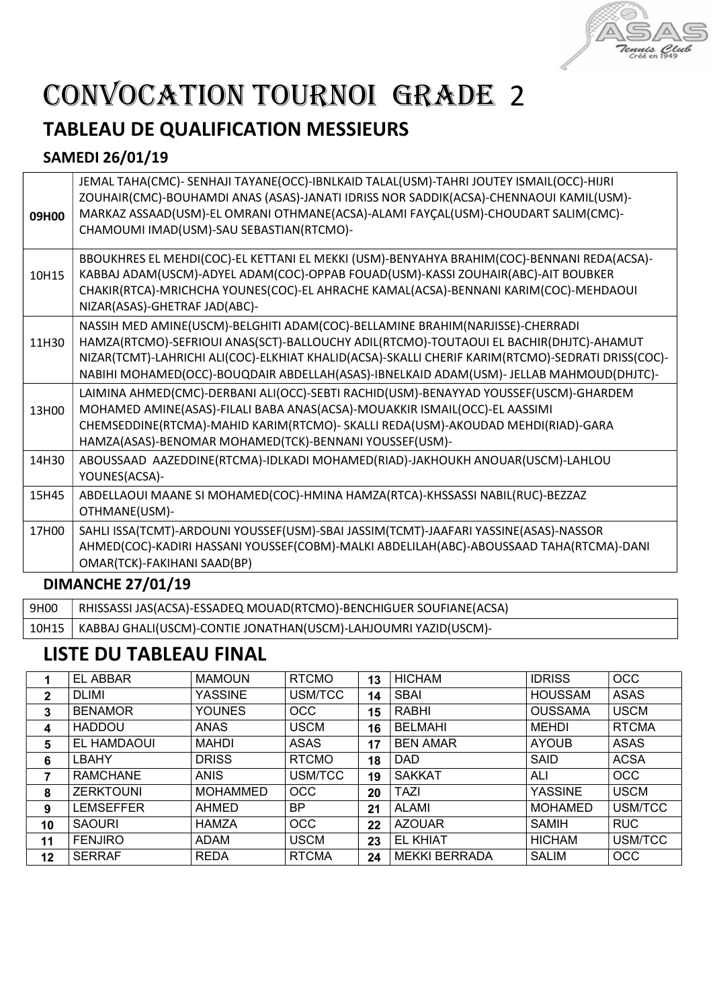

# CONVOCATION TOURNOI GRADE 2

## TABLEAU DE QUALIFICATION MESSIEURS

### SAMEDI 26/01/19

| 09H00                    | JEMAL TAHA(CMC)- SENHAJI TAYANE(OCC)-IBNLKAID TALAL(USM)-TAHRI JOUTEY ISMAIL(OCC)-HIJRI<br>ZOUHAIR(CMC)-BOUHAMDI ANAS (ASAS)-JANATI IDRISS NOR SADDIK(ACSA)-CHENNAOUI KAMIL(USM)-<br>MARKAZ ASSAAD(USM)-EL OMRANI OTHMANE(ACSA)-ALAMI FAYÇAL(USM)-CHOUDART SALIM(CMC)-<br>CHAMOUMI IMAD(USM)-SAU SEBASTIAN(RTCMO)-                                                      |  |  |  |
|--------------------------|-------------------------------------------------------------------------------------------------------------------------------------------------------------------------------------------------------------------------------------------------------------------------------------------------------------------------------------------------------------------------|--|--|--|
| 10H15                    | BBOUKHRES EL MEHDI(COC)-EL KETTANI EL MEKKI (USM)-BENYAHYA BRAHIM(COC)-BENNANI REDA(ACSA)-<br>KABBAJ ADAM(USCM)-ADYEL ADAM(COC)-OPPAB FOUAD(USM)-KASSI ZOUHAIR(ABC)-AIT BOUBKER<br>CHAKIR(RTCA)-MRICHCHA YOUNES(COC)-EL AHRACHE KAMAL(ACSA)-BENNANI KARIM(COC)-MEHDAOUI<br>NIZAR(ASAS)-GHETRAF JAD(ABC)-                                                                |  |  |  |
| 11H30                    | NASSIH MED AMINE(USCM)-BELGHITI ADAM(COC)-BELLAMINE BRAHIM(NARJISSE)-CHERRADI<br>HAMZA(RTCMO)-SEFRIOUI ANAS(SCT)-BALLOUCHY ADIL(RTCMO)-TOUTAOUI EL BACHIR(DHJTC)-AHAMUT<br>NIZAR(TCMT)-LAHRICHI ALI(COC)-ELKHIAT KHALID(ACSA)-SKALLI CHERIF KARIM(RTCMO)-SEDRATI DRISS(COC)-<br>NABIHI MOHAMED(OCC)-BOUQDAIR ABDELLAH(ASAS)-IBNELKAID ADAM(USM)- JELLAB MAHMOUD(DHJTC)- |  |  |  |
| 13H00                    | LAIMINA AHMED(CMC)-DERBANI ALI(OCC)-SEBTI RACHID(USM)-BENAYYAD YOUSSEF(USCM)-GHARDEM<br>MOHAMED AMINE(ASAS)-FILALI BABA ANAS(ACSA)-MOUAKKIR ISMAIL(OCC)-EL AASSIMI<br>CHEMSEDDINE(RTCMA)-MAHID KARIM(RTCMO)- SKALLI REDA(USM)-AKOUDAD MEHDI(RIAD)-GARA<br>HAMZA(ASAS)-BENOMAR MOHAMED(TCK)-BENNANI YOUSSEF(USM)-                                                        |  |  |  |
| 14H30                    | ABOUSSAAD AAZEDDINE(RTCMA)-IDLKADI MOHAMED(RIAD)-JAKHOUKH ANOUAR(USCM)-LAHLOU<br>YOUNES(ACSA)-                                                                                                                                                                                                                                                                          |  |  |  |
| 15H45                    | ABDELLAOUI MAANE SI MOHAMED(COC)-HMINA HAMZA(RTCA)-KHSSASSI NABIL(RUC)-BEZZAZ<br>OTHMANE(USM)-                                                                                                                                                                                                                                                                          |  |  |  |
| 17H00                    | SAHLI ISSA(TCMT)-ARDOUNI YOUSSEF(USM)-SBAI JASSIM(TCMT)-JAAFARI YASSINE(ASAS)-NASSOR<br>AHMED(COC)-KADIRI HASSANI YOUSSEF(COBM)-MALKI ABDELILAH(ABC)-ABOUSSAAD TAHA(RTCMA)-DANI<br>OMAR(TCK)-FAKIHANI SAAD(BP)                                                                                                                                                          |  |  |  |
| <b>DIMANCHE 27/01/19</b> |                                                                                                                                                                                                                                                                                                                                                                         |  |  |  |

| 9H00 | RHISSASSI JAS(ACSA)-ESSADEQ MOUAD(RTCMO)-BENCHIGUER SOUFIANE(ACSA)      |
|------|-------------------------------------------------------------------------|
|      | 10H15   KABBAJ GHALI(USCM)-CONTIE JONATHAN(USCM)-LAHJOUMRI YAZID(USCM)- |

### LISTE DU TABLEAU FINAL

|              | <b>EL ABBAR</b>  | <b>MAMOUN</b>   | <b>RTCMO</b> | 13 | <b>HICHAM</b>        | <b>IDRISS</b>  | <b>OCC</b>   |
|--------------|------------------|-----------------|--------------|----|----------------------|----------------|--------------|
| $\mathbf{2}$ | <b>DLIMI</b>     | <b>YASSINE</b>  | USM/TCC      | 14 | <b>SBAI</b>          | <b>HOUSSAM</b> | <b>ASAS</b>  |
| 3            | <b>BENAMOR</b>   | <b>YOUNES</b>   | <b>OCC</b>   | 15 | <b>RABHI</b>         | <b>OUSSAMA</b> | <b>USCM</b>  |
| 4            | <b>HADDOU</b>    | <b>ANAS</b>     | <b>USCM</b>  | 16 | <b>BELMAHI</b>       | <b>MEHDI</b>   | <b>RTCMA</b> |
| 5            | EL HAMDAOUI      | <b>MAHDI</b>    | <b>ASAS</b>  | 17 | <b>BEN AMAR</b>      | <b>AYOUB</b>   | ASAS         |
| 6            | LBAHY            | <b>DRISS</b>    | <b>RTCMO</b> | 18 | <b>DAD</b>           | SAID           | <b>ACSA</b>  |
|              | <b>RAMCHANE</b>  | <b>ANIS</b>     | USM/TCC      | 19 | <b>SAKKAT</b>        | ALI            | <b>OCC</b>   |
| 8            | <b>ZERKTOUNI</b> | <b>MOHAMMED</b> | <b>OCC</b>   | 20 | <b>TAZI</b>          | <b>YASSINE</b> | <b>USCM</b>  |
| 9            | <b>LEMSEFFER</b> | AHMED           | <b>BP</b>    | 21 | <b>ALAMI</b>         | <b>MOHAMED</b> | USM/TCC      |
| 10           | <b>SAOURI</b>    | <b>HAMZA</b>    | <b>OCC</b>   | 22 | <b>AZOUAR</b>        | <b>SAMIH</b>   | <b>RUC</b>   |
| 11           | <b>FENJIRO</b>   | ADAM            | <b>USCM</b>  | 23 | <b>EL KHIAT</b>      | <b>HICHAM</b>  | USM/TCC      |
| $12 \,$      | <b>SERRAF</b>    | <b>REDA</b>     | <b>RTCMA</b> | 24 | <b>MEKKI BERRADA</b> | <b>SALIM</b>   | <b>OCC</b>   |